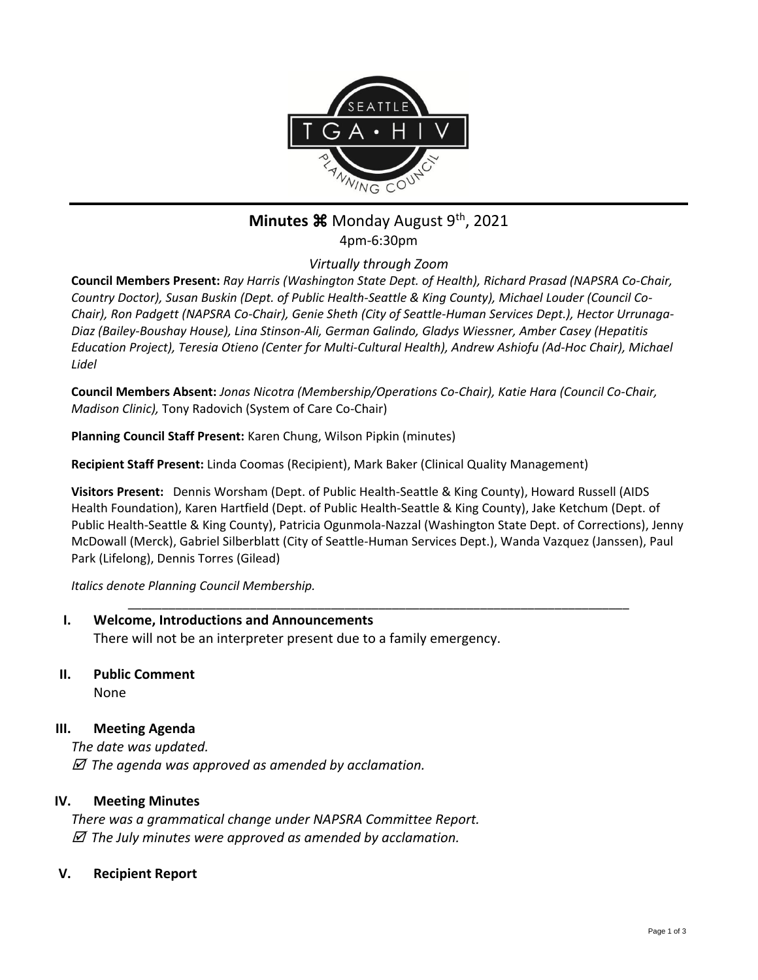

# **Minutes**  $\mathbb{R}$  Monday August 9<sup>th</sup>, 2021 4pm-6:30pm

*Virtually through Zoom*

**Council Members Present:** *Ray Harris (Washington State Dept. of Health), Richard Prasad (NAPSRA Co-Chair, Country Doctor), Susan Buskin (Dept. of Public Health-Seattle & King County), Michael Louder (Council Co-Chair), Ron Padgett (NAPSRA Co-Chair), Genie Sheth (City of Seattle-Human Services Dept.), Hector Urrunaga-Diaz (Bailey-Boushay House), Lina Stinson-Ali, German Galindo, Gladys Wiessner, Amber Casey (Hepatitis Education Project), Teresia Otieno (Center for Multi-Cultural Health), Andrew Ashiofu (Ad-Hoc Chair), Michael Lidel*

**Council Members Absent:** *Jonas Nicotra (Membership/Operations Co-Chair), Katie Hara (Council Co-Chair, Madison Clinic),* Tony Radovich (System of Care Co-Chair)

**Planning Council Staff Present:** Karen Chung, Wilson Pipkin (minutes)

**Recipient Staff Present:** Linda Coomas (Recipient), Mark Baker (Clinical Quality Management)

**Visitors Present:** Dennis Worsham (Dept. of Public Health-Seattle & King County), Howard Russell (AIDS Health Foundation), Karen Hartfield (Dept. of Public Health-Seattle & King County), Jake Ketchum (Dept. of Public Health-Seattle & King County), Patricia Ogunmola-Nazzal (Washington State Dept. of Corrections), Jenny McDowall (Merck), Gabriel Silberblatt (City of Seattle-Human Services Dept.), Wanda Vazquez (Janssen), Paul Park (Lifelong), Dennis Torres (Gilead)

\_\_\_\_\_\_\_\_\_\_\_\_\_\_\_\_\_\_\_\_\_\_\_\_\_\_\_\_\_\_\_\_\_\_\_\_\_\_\_\_\_\_\_\_\_\_\_\_\_\_\_\_\_\_\_\_\_\_\_\_\_\_\_\_\_\_\_\_\_\_\_\_\_\_

*Italics denote Planning Council Membership.* 

- **I. Welcome, Introductions and Announcements** There will not be an interpreter present due to a family emergency.
- **II. Public Comment**

None

## **III. Meeting Agenda**

*The date was updated. The agenda was approved as amended by acclamation.*

## **IV. Meeting Minutes**

*There was a grammatical change under NAPSRA Committee Report. The July minutes were approved as amended by acclamation.*

### **V. Recipient Report**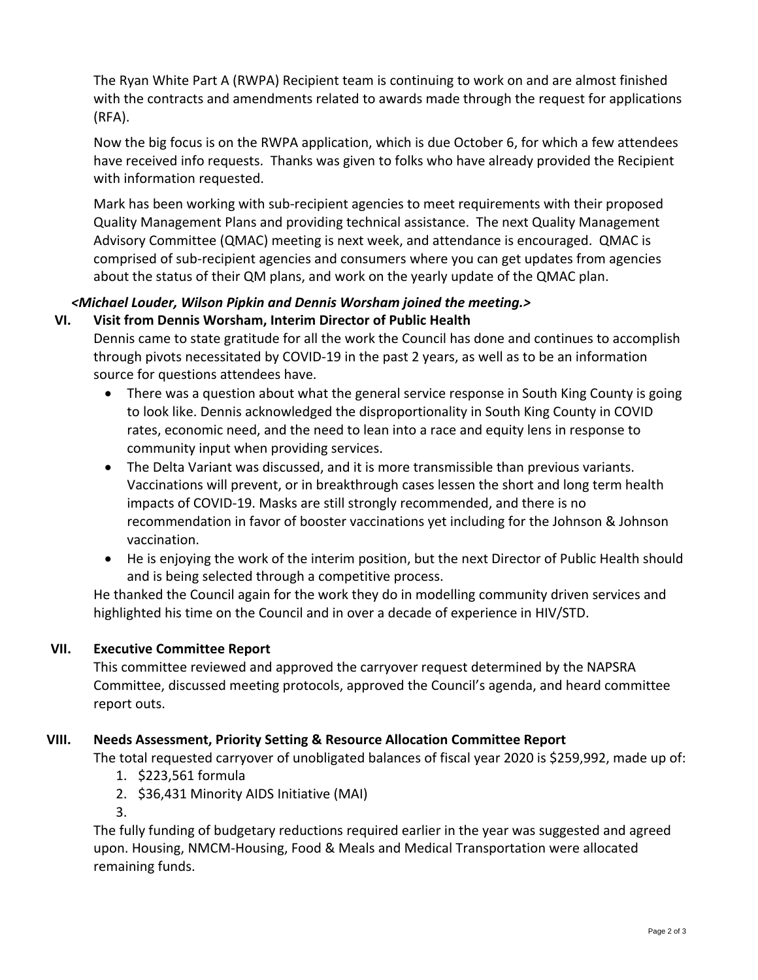The Ryan White Part A (RWPA) Recipient team is continuing to work on and are almost finished with the contracts and amendments related to awards made through the request for applications (RFA).

Now the big focus is on the RWPA application, which is due October 6, for which a few attendees have received info requests. Thanks was given to folks who have already provided the Recipient with information requested.

Mark has been working with sub-recipient agencies to meet requirements with their proposed Quality Management Plans and providing technical assistance. The next Quality Management Advisory Committee (QMAC) meeting is next week, and attendance is encouraged. QMAC is comprised of sub-recipient agencies and consumers where you can get updates from agencies about the status of their QM plans, and work on the yearly update of the QMAC plan.

#### *<Michael Louder, Wilson Pipkin and Dennis Worsham joined the meeting.>* **VI. Visit from Dennis Worsham, Interim Director of Public Health**

Dennis came to state gratitude for all the work the Council has done and continues to accomplish through pivots necessitated by COVID-19 in the past 2 years, as well as to be an information source for questions attendees have.

- There was a question about what the general service response in South King County is going to look like. Dennis acknowledged the disproportionality in South King County in COVID rates, economic need, and the need to lean into a race and equity lens in response to community input when providing services.
- The Delta Variant was discussed, and it is more transmissible than previous variants. Vaccinations will prevent, or in breakthrough cases lessen the short and long term health impacts of COVID-19. Masks are still strongly recommended, and there is no recommendation in favor of booster vaccinations yet including for the Johnson & Johnson vaccination.
- He is enjoying the work of the interim position, but the next Director of Public Health should and is being selected through a competitive process.

He thanked the Council again for the work they do in modelling community driven services and highlighted his time on the Council and in over a decade of experience in HIV/STD.

# **VII. Executive Committee Report**

This committee reviewed and approved the carryover request determined by the NAPSRA Committee, discussed meeting protocols, approved the Council's agenda, and heard committee report outs.

# **VIII. Needs Assessment, Priority Setting & Resource Allocation Committee Report**

The total requested carryover of unobligated balances of fiscal year 2020 is \$259,992, made up of:

- 1. \$223,561 formula
- 2. \$36,431 Minority AIDS Initiative (MAI)

3.

The fully funding of budgetary reductions required earlier in the year was suggested and agreed upon. Housing, NMCM-Housing, Food & Meals and Medical Transportation were allocated remaining funds.